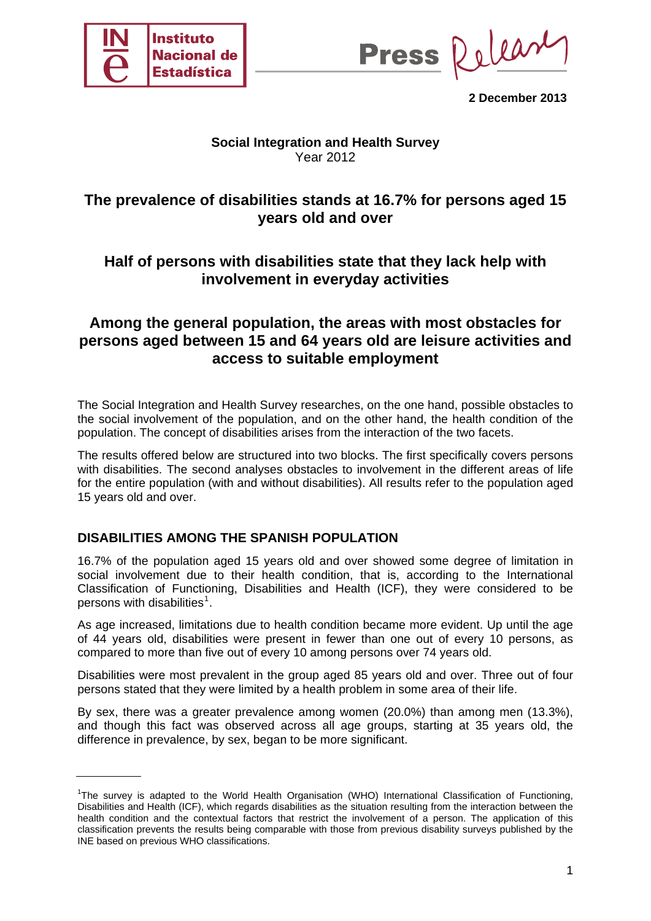

Press Release

**2 December 2013** 

### **Social Integration and Health Survey**  Year 2012

# **The prevalence of disabilities stands at 16.7% for persons aged 15 years old and over**

# **Half of persons with disabilities state that they lack help with involvement in everyday activities**

### **Among the general population, the areas with most obstacles for persons aged between 15 and 64 years old are leisure activities and access to suitable employment**

The Social Integration and Health Survey researches, on the one hand, possible obstacles to the social involvement of the population, and on the other hand, the health condition of the population. The concept of disabilities arises from the interaction of the two facets.

The results offered below are structured into two blocks. The first specifically covers persons with disabilities. The second analyses obstacles to involvement in the different areas of life for the entire population (with and without disabilities). All results refer to the population aged 15 years old and over.

### **DISABILITIES AMONG THE SPANISH POPULATION**

16.7% of the population aged 15 years old and over showed some degree of limitation in social involvement due to their health condition, that is, according to the International Classification of Functioning, Disabilities and Health (ICF), they were considered to be persons with disabilities<sup>[1](#page-0-0)</sup>.

As age increased, limitations due to health condition became more evident. Up until the age of 44 years old, disabilities were present in fewer than one out of every 10 persons, as compared to more than five out of every 10 among persons over 74 years old.

Disabilities were most prevalent in the group aged 85 years old and over. Three out of four persons stated that they were limited by a health problem in some area of their life.

By sex, there was a greater prevalence among women (20.0%) than among men (13.3%), and though this fact was observed across all age groups, starting at 35 years old, the difference in prevalence, by sex, began to be more significant.

<span id="page-0-0"></span><sup>&</sup>lt;sup>1</sup>The survey is adapted to the World Health Organisation (WHO) International Classification of Functioning, Disabilities and Health (ICF), which regards disabilities as the situation resulting from the interaction between the health condition and the contextual factors that restrict the involvement of a person. The application of this classification prevents the results being comparable with those from previous disability surveys published by the INE based on previous WHO classifications.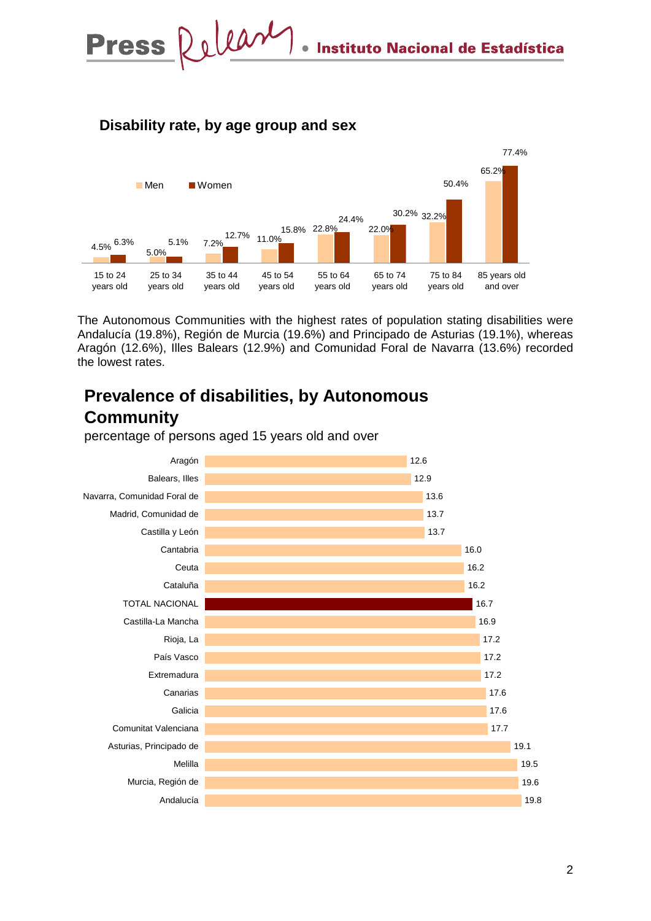# **Disability rate, by age group and sex**



The Autonomous Communities with the highest rates of population stating disabilities were Andalucía (19.8%), Región de Murcia (19.6%) and Principado de Asturias (19.1%), whereas Aragón (12.6%), Illes Balears (12.9%) and Comunidad Foral de Navarra (13.6%) recorded the lowest rates.

# **Prevalence of disabilities, by Autonomous Community**



percentage of persons aged 15 years old and over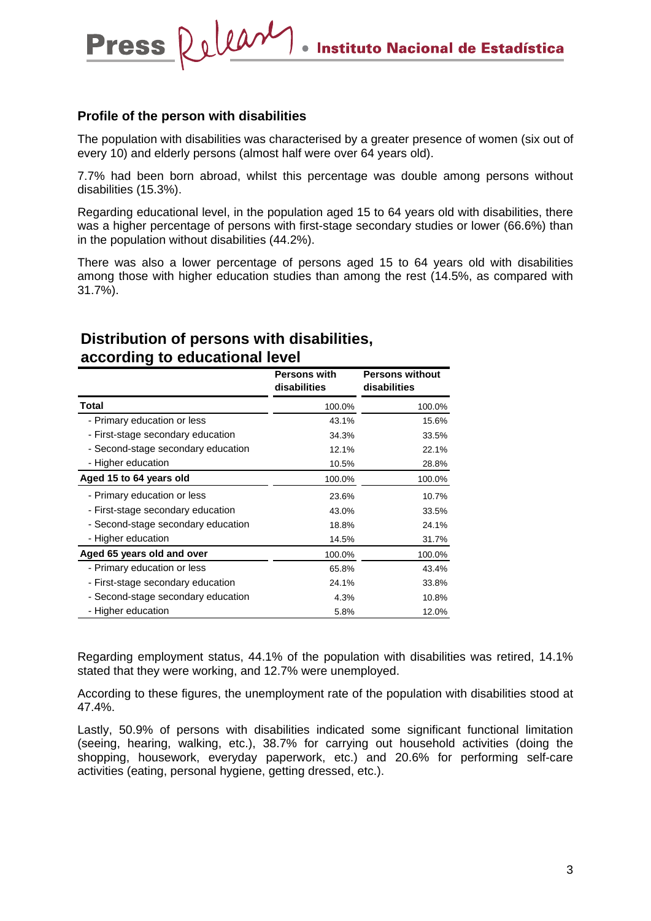#### **Profile of the person with disabilities**

**Press** 

Delease

The population with disabilities was characterised by a greater presence of women (six out of every 10) and elderly persons (almost half were over 64 years old).

7.7% had been born abroad, whilst this percentage was double among persons without disabilities (15.3%).

Regarding educational level, in the population aged 15 to 64 years old with disabilities, there was a higher percentage of persons with first-stage secondary studies or lower (66.6%) than in the population without disabilities (44.2%).

There was also a lower percentage of persons aged 15 to 64 years old with disabilities among those with higher education studies than among the rest (14.5%, as compared with 31.7%).

# **Distribution of persons with disabilities, according to educational level**

|                                    | <b>Persons with</b><br>disabilities | <b>Persons without</b><br>disabilities |
|------------------------------------|-------------------------------------|----------------------------------------|
| Total                              | 100.0%                              | 100.0%                                 |
| - Primary education or less        | 43.1%                               | 15.6%                                  |
| - First-stage secondary education  | 34.3%                               | 33.5%                                  |
| - Second-stage secondary education | 12.1%                               | 22.1%                                  |
| - Higher education                 | 10.5%                               | 28.8%                                  |
| Aged 15 to 64 years old            | 100.0%                              | 100.0%                                 |
| - Primary education or less        | 23.6%                               | 10.7%                                  |
| - First-stage secondary education  | 43.0%                               | 33.5%                                  |
| - Second-stage secondary education | 18.8%                               | 24.1%                                  |
| - Higher education                 | 14.5%                               | 31.7%                                  |
| Aged 65 years old and over         | 100.0%                              | 100.0%                                 |
| - Primary education or less        | 65.8%                               | 43.4%                                  |
| - First-stage secondary education  | 24.1%                               | 33.8%                                  |
| - Second-stage secondary education | 4.3%                                | 10.8%                                  |
| - Higher education                 | 5.8%                                | 12.0%                                  |

Regarding employment status, 44.1% of the population with disabilities was retired, 14.1% stated that they were working, and 12.7% were unemployed.

According to these figures, the unemployment rate of the population with disabilities stood at 47.4%.

Lastly, 50.9% of persons with disabilities indicated some significant functional limitation (seeing, hearing, walking, etc.), 38.7% for carrying out household activities (doing the shopping, housework, everyday paperwork, etc.) and 20.6% for performing self-care activities (eating, personal hygiene, getting dressed, etc.).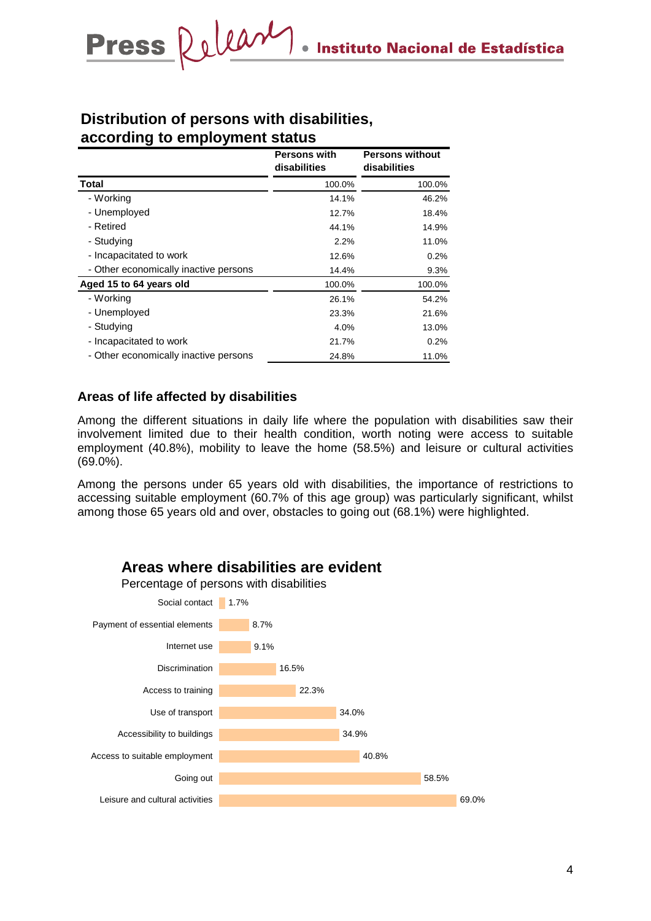# **Distribution of persons with disabilities, according to employment status**

|                                       | <b>Persons with</b><br>disabilities | <b>Persons without</b><br>disabilities |  |
|---------------------------------------|-------------------------------------|----------------------------------------|--|
| Total                                 | 100.0%                              | 100.0%                                 |  |
| - Working                             | 14.1%                               | 46.2%                                  |  |
| - Unemployed                          | 12.7%                               | 18.4%                                  |  |
| - Retired                             | 44.1%                               | 14.9%                                  |  |
| - Studying                            | 2.2%                                | 11.0%                                  |  |
| - Incapacitated to work               | 12.6%                               | 0.2%                                   |  |
| - Other economically inactive persons | 14.4%                               | $9.3\%$                                |  |
| Aged 15 to 64 years old               | 100.0%                              | 100.0%                                 |  |
| - Working                             | 26.1%                               | 54.2%                                  |  |
| - Unemployed                          | 23.3%                               | 21.6%                                  |  |
| - Studying                            | 4.0%                                | 13.0%                                  |  |
| - Incapacitated to work               | 21.7%                               | 0.2%                                   |  |
| - Other economically inactive persons | 24.8%                               | 11.0%                                  |  |

### **Areas of life affected by disabilities**

Among the different situations in daily life where the population with disabilities saw their involvement limited due to their health condition, worth noting were access to suitable employment (40.8%), mobility to leave the home (58.5%) and leisure or cultural activities (69.0%).

Among the persons under 65 years old with disabilities, the importance of restrictions to accessing suitable employment (60.7% of this age group) was particularly significant, whilst among those 65 years old and over, obstacles to going out (68.1%) were highlighted.



# **Areas where disabilities are evident**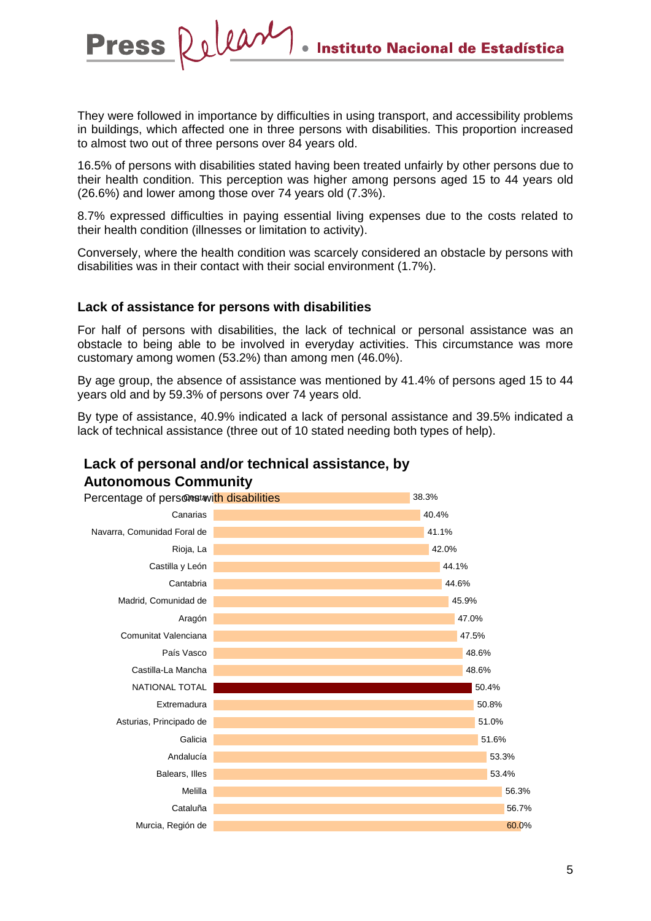They were followed in importance by difficulties in using transport, and accessibility problems in buildings, which affected one in three persons with disabilities. This proportion increased to almost two out of three persons over 84 years old.

16.5% of persons with disabilities stated having been treated unfairly by other persons due to their health condition. This perception was higher among persons aged 15 to 44 years old (26.6%) and lower among those over 74 years old (7.3%).

8.7% expressed difficulties in paying essential living expenses due to the costs related to their health condition (illnesses or limitation to activity).

Conversely, where the health condition was scarcely considered an obstacle by persons with disabilities was in their contact with their social environment (1.7%).

#### **Lack of assistance for persons with disabilities**

Release

**Press** 

For half of persons with disabilities, the lack of technical or personal assistance was an obstacle to being able to be involved in everyday activities. This circumstance was more customary among women (53.2%) than among men (46.0%).

By age group, the absence of assistance was mentioned by 41.4% of persons aged 15 to 44 years old and by 59.3% of persons over 74 years old.

By type of assistance, 40.9% indicated a lack of personal assistance and 39.5% indicated a lack of technical assistance (three out of 10 stated needing both types of help).

### **Lack of personal and/or technical assistance, by Autonomous Community**

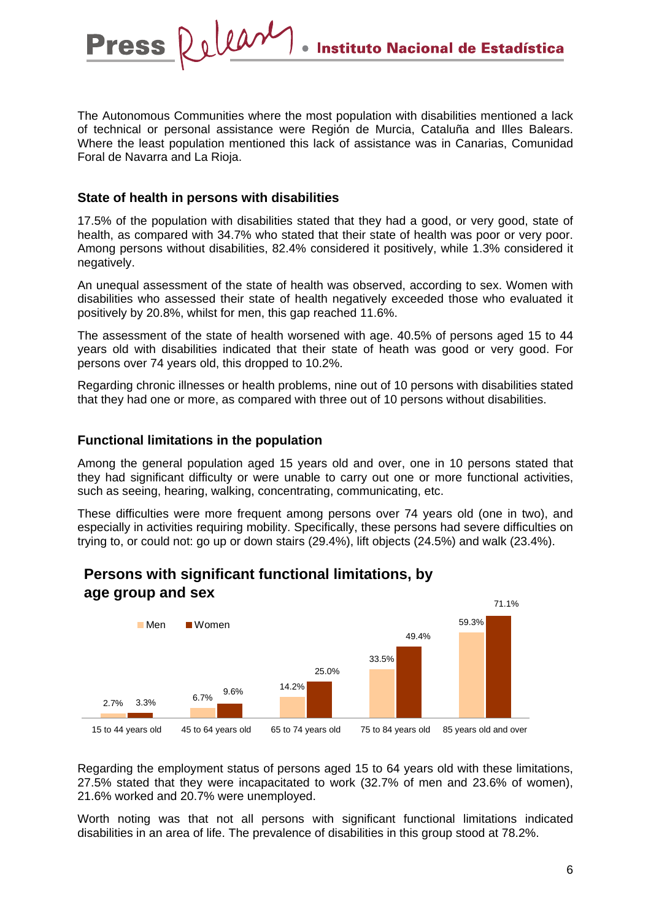The Autonomous Communities where the most population with disabilities mentioned a lack of technical or personal assistance were Región de Murcia, Cataluña and Illes Balears. Where the least population mentioned this lack of assistance was in Canarias, Comunidad Foral de Navarra and La Rioja.

#### **State of health in persons with disabilities**

17.5% of the population with disabilities stated that they had a good, or very good, state of health, as compared with 34.7% who stated that their state of health was poor or very poor. Among persons without disabilities, 82.4% considered it positively, while 1.3% considered it negatively.

An unequal assessment of the state of health was observed, according to sex. Women with disabilities who assessed their state of health negatively exceeded those who evaluated it positively by 20.8%, whilst for men, this gap reached 11.6%.

The assessment of the state of health worsened with age. 40.5% of persons aged 15 to 44 years old with disabilities indicated that their state of heath was good or very good. For persons over 74 years old, this dropped to 10.2%.

Regarding chronic illnesses or health problems, nine out of 10 persons with disabilities stated that they had one or more, as compared with three out of 10 persons without disabilities.

#### **Functional limitations in the population**

Among the general population aged 15 years old and over, one in 10 persons stated that they had significant difficulty or were unable to carry out one or more functional activities, such as seeing, hearing, walking, concentrating, communicating, etc.

These difficulties were more frequent among persons over 74 years old (one in two), and especially in activities requiring mobility. Specifically, these persons had severe difficulties on trying to, or could not: go up or down stairs (29.4%), lift objects (24.5%) and walk (23.4%).



### **Persons with significant functional limitations, by age group and sex**

Regarding the employment status of persons aged 15 to 64 years old with these limitations, 27.5% stated that they were incapacitated to work (32.7% of men and 23.6% of women), 21.6% worked and 20.7% were unemployed.

Worth noting was that not all persons with significant functional limitations indicated disabilities in an area of life. The prevalence of disabilities in this group stood at 78.2%.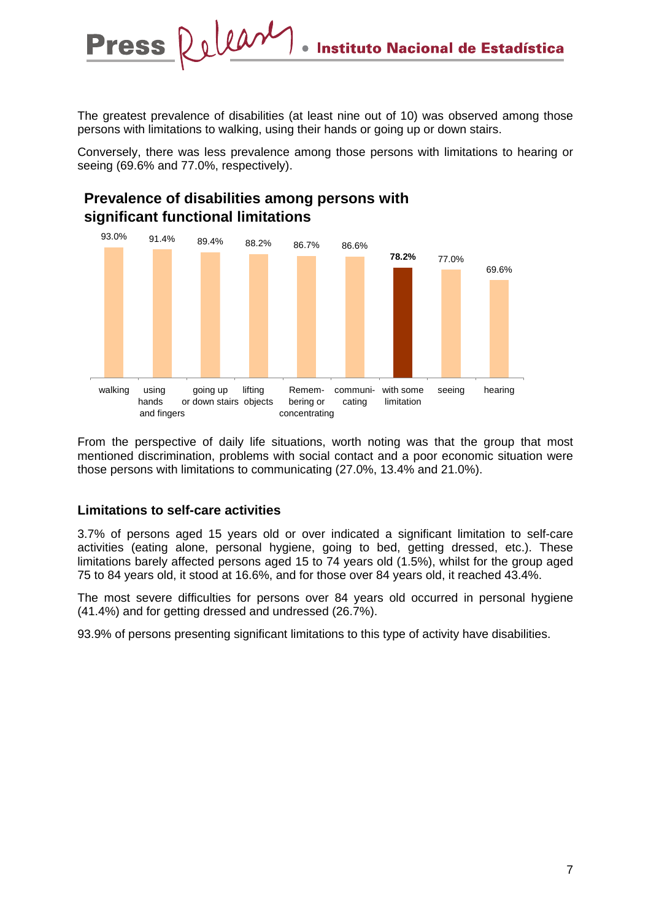The greatest prevalence of disabilities (at least nine out of 10) was observed among those persons with limitations to walking, using their hands or going up or down stairs.

Conversely, there was less prevalence among those persons with limitations to hearing or seeing (69.6% and 77.0%, respectively).



**Prevalence of disabilities among persons with significant functional limitations**

From the perspective of daily life situations, worth noting was that the group that most mentioned discrimination, problems with social contact and a poor economic situation were those persons with limitations to communicating (27.0%, 13.4% and 21.0%).

#### **Limitations to self-care activities**

**Press** 

3.7% of persons aged 15 years old or over indicated a significant limitation to self-care activities (eating alone, personal hygiene, going to bed, getting dressed, etc.). These limitations barely affected persons aged 15 to 74 years old (1.5%), whilst for the group aged 75 to 84 years old, it stood at 16.6%, and for those over 84 years old, it reached 43.4%.

The most severe difficulties for persons over 84 years old occurred in personal hygiene (41.4%) and for getting dressed and undressed (26.7%).

93.9% of persons presenting significant limitations to this type of activity have disabilities.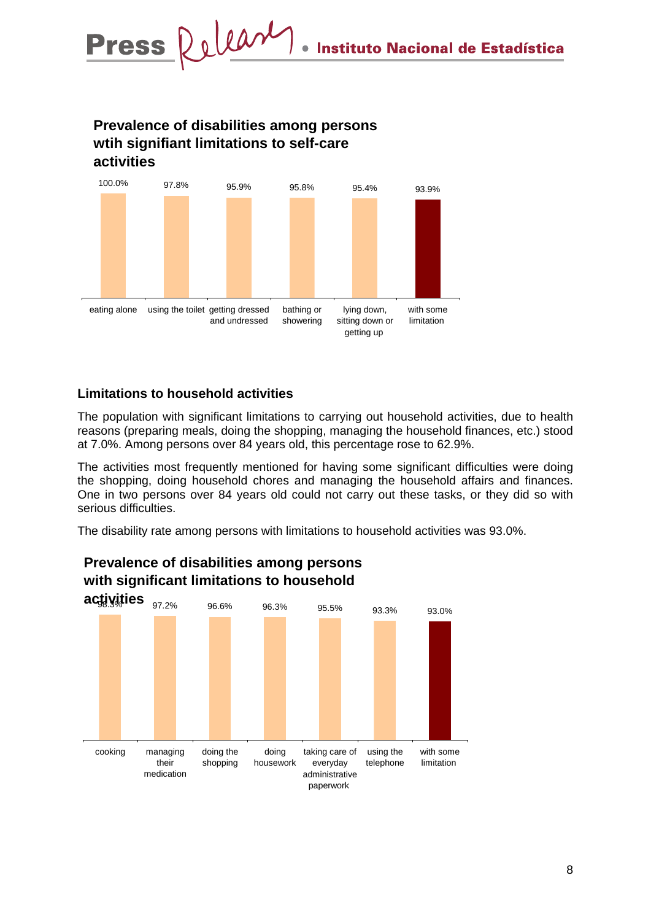# **Prevalence of disabilities among persons wtih signifiant limitations to self-care activities**



### **Limitations to household activities**

The population with significant limitations to carrying out household activities, due to health reasons (preparing meals, doing the shopping, managing the household finances, etc.) stood at 7.0%. Among persons over 84 years old, this percentage rose to 62.9%.

The activities most frequently mentioned for having some significant difficulties were doing the shopping, doing household chores and managing the household affairs and finances. One in two persons over 84 years old could not carry out these tasks, or they did so with serious difficulties.

The disability rate among persons with limitations to household activities was 93.0%.



### **Prevalence of disabilities among persons with significant limitations to household**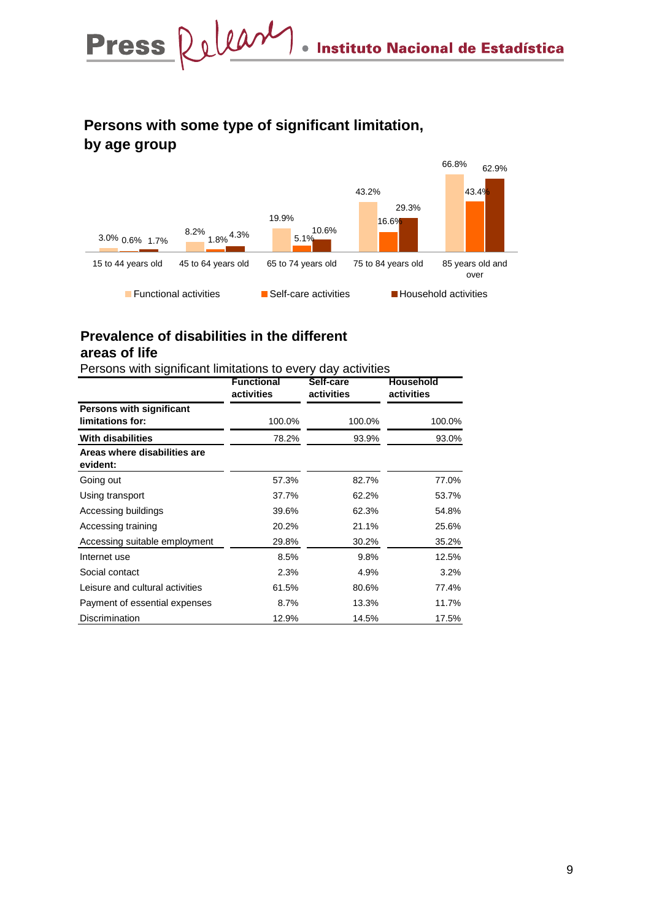# **Persons with some type of significant limitation, by age group**



# **Prevalence of disabilities in the different**

# **areas of life**

Persons with significant limitations to every day activities

|                                          | <b>Functional</b><br>activities | Self-care<br>activities | <b>Household</b><br>activities |
|------------------------------------------|---------------------------------|-------------------------|--------------------------------|
| Persons with significant                 |                                 |                         |                                |
| limitations for:                         | 100.0%                          | 100.0%                  | 100.0%                         |
| <b>With disabilities</b>                 | 78.2%                           | 93.9%                   | 93.0%                          |
| Areas where disabilities are<br>evident: |                                 |                         |                                |
| Going out                                | 57.3%                           | 82.7%                   | 77.0%                          |
| Using transport                          | 37.7%                           | 62.2%                   | 53.7%                          |
| Accessing buildings                      | 39.6%                           | 62.3%                   | 54.8%                          |
| Accessing training                       | 20.2%                           | 21.1%                   | 25.6%                          |
| Accessing suitable employment            | 29.8%                           | 30.2%                   | 35.2%                          |
| Internet use                             | 8.5%                            | 9.8%                    | 12.5%                          |
| Social contact                           | 2.3%                            | 4.9%                    | 3.2%                           |
| Leisure and cultural activities          | 61.5%                           | 80.6%                   | 77.4%                          |
| Payment of essential expenses            | 8.7%                            | 13.3%                   | 11.7%                          |
| Discrimination                           | 12.9%                           | 14.5%                   | 17.5%                          |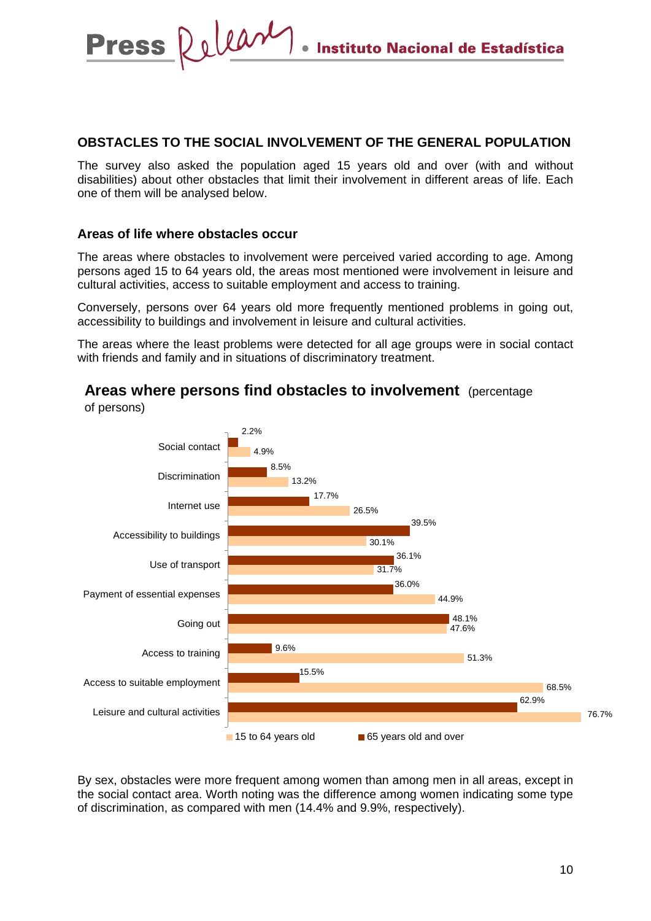#### **OBSTACLES TO THE SOCIAL INVOLVEMENT OF THE GENERAL POPULATION**

The survey also asked the population aged 15 years old and over (with and without disabilities) about other obstacles that limit their involvement in different areas of life. Each one of them will be analysed below.

#### **Areas of life where obstacles occur**

The areas where obstacles to involvement were perceived varied according to age. Among persons aged 15 to 64 years old, the areas most mentioned were involvement in leisure and cultural activities, access to suitable employment and access to training.

Conversely, persons over 64 years old more frequently mentioned problems in going out, accessibility to buildings and involvement in leisure and cultural activities.

The areas where the least problems were detected for all age groups were in social contact with friends and family and in situations of discriminatory treatment.



**Areas where persons find obstacles to involvement** (percentage

By sex, obstacles were more frequent among women than among men in all areas, except in the social contact area. Worth noting was the difference among women indicating some type of discrimination, as compared with men (14.4% and 9.9%, respectively).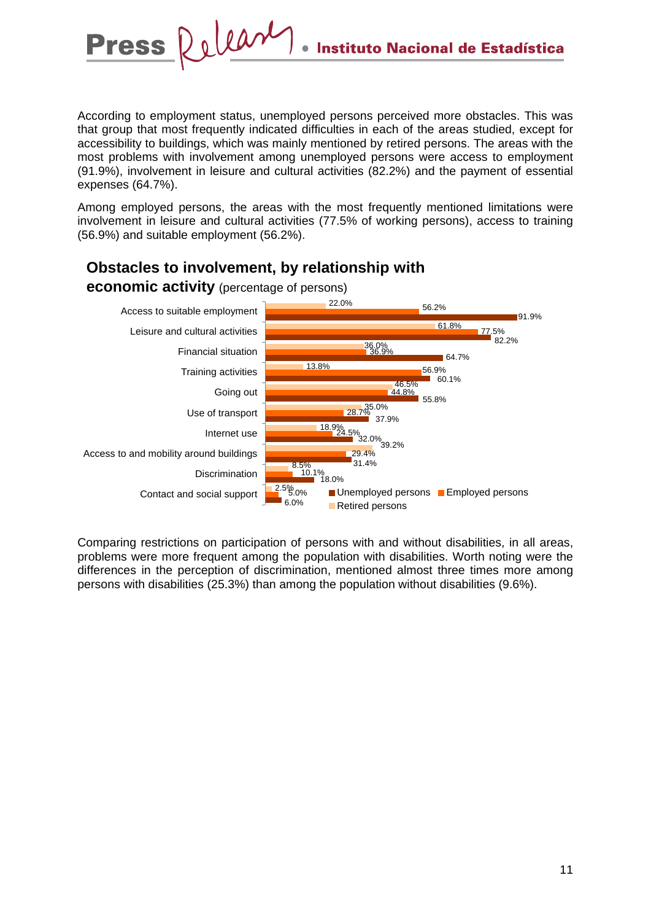According to employment status, unemployed persons perceived more obstacles. This was that group that most frequently indicated difficulties in each of the areas studied, except for accessibility to buildings, which was mainly mentioned by retired persons. The areas with the most problems with involvement among unemployed persons were access to employment (91.9%), involvement in leisure and cultural activities (82.2%) and the payment of essential expenses (64.7%).

Among employed persons, the areas with the most frequently mentioned limitations were involvement in leisure and cultural activities (77.5% of working persons), access to training (56.9%) and suitable employment (56.2%).



# **Obstacles to involvement, by relationship with**

Release

**Press** 

Comparing restrictions on participation of persons with and without disabilities, in all areas, problems were more frequent among the population with disabilities. Worth noting were the differences in the perception of discrimination, mentioned almost three times more among persons with disabilities (25.3%) than among the population without disabilities (9.6%).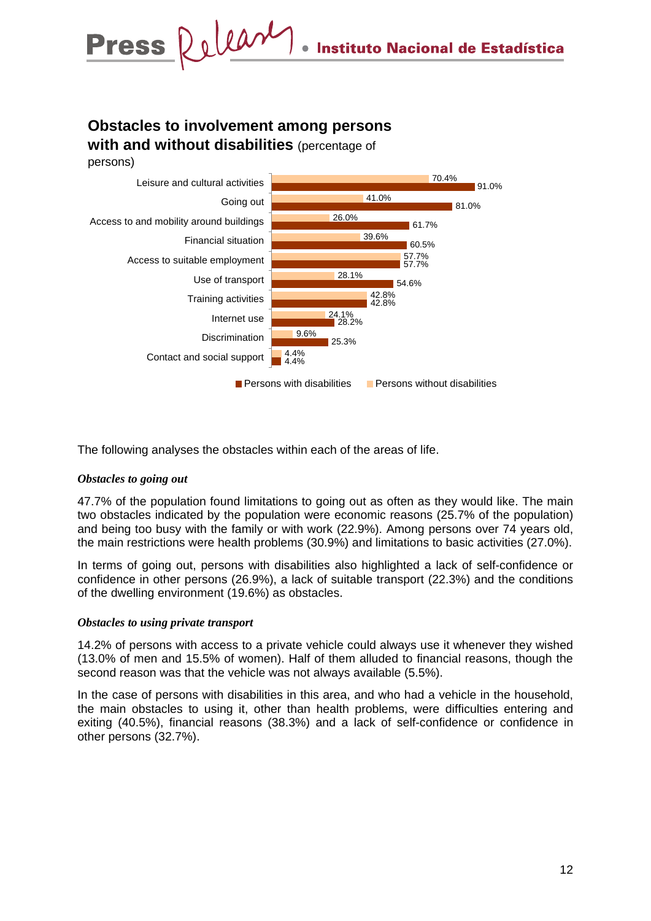# **Obstacles to involvement among persons with and without disabilities** (percentage of

persons)



The following analyses the obstacles within each of the areas of life.

#### *Obstacles to going out*

47.7% of the population found limitations to going out as often as they would like. The main two obstacles indicated by the population were economic reasons (25.7% of the population) and being too busy with the family or with work (22.9%). Among persons over 74 years old, the main restrictions were health problems (30.9%) and limitations to basic activities (27.0%).

In terms of going out, persons with disabilities also highlighted a lack of self-confidence or confidence in other persons (26.9%), a lack of suitable transport (22.3%) and the conditions of the dwelling environment (19.6%) as obstacles.

#### *Obstacles to using private transport*

14.2% of persons with access to a private vehicle could always use it whenever they wished (13.0% of men and 15.5% of women). Half of them alluded to financial reasons, though the second reason was that the vehicle was not always available (5.5%).

In the case of persons with disabilities in this area, and who had a vehicle in the household, the main obstacles to using it, other than health problems, were difficulties entering and exiting (40.5%), financial reasons (38.3%) and a lack of self-confidence or confidence in other persons (32.7%).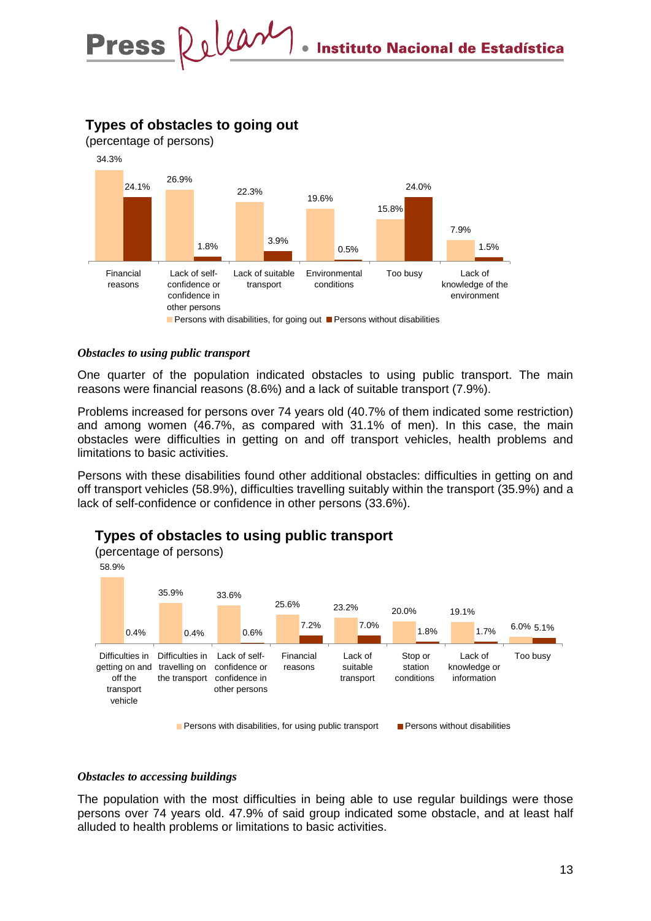

# **Types of obstacles to going out**

(percentage of persons)

#### *Obstacles to using public transport*

One quarter of the population indicated obstacles to using public transport. The main reasons were financial reasons (8.6%) and a lack of suitable transport (7.9%).

Problems increased for persons over 74 years old (40.7% of them indicated some restriction) and among women (46.7%, as compared with 31.1% of men). In this case, the main obstacles were difficulties in getting on and off transport vehicles, health problems and limitations to basic activities.

Persons with these disabilities found other additional obstacles: difficulties in getting on and off transport vehicles (58.9%), difficulties travelling suitably within the transport (35.9%) and a lack of self-confidence or confidence in other persons (33.6%).



### **Types of obstacles to using public transport**

#### *Obstacles to accessing buildings*

The population with the most difficulties in being able to use regular buildings were those persons over 74 years old. 47.9% of said group indicated some obstacle, and at least half alluded to health problems or limitations to basic activities.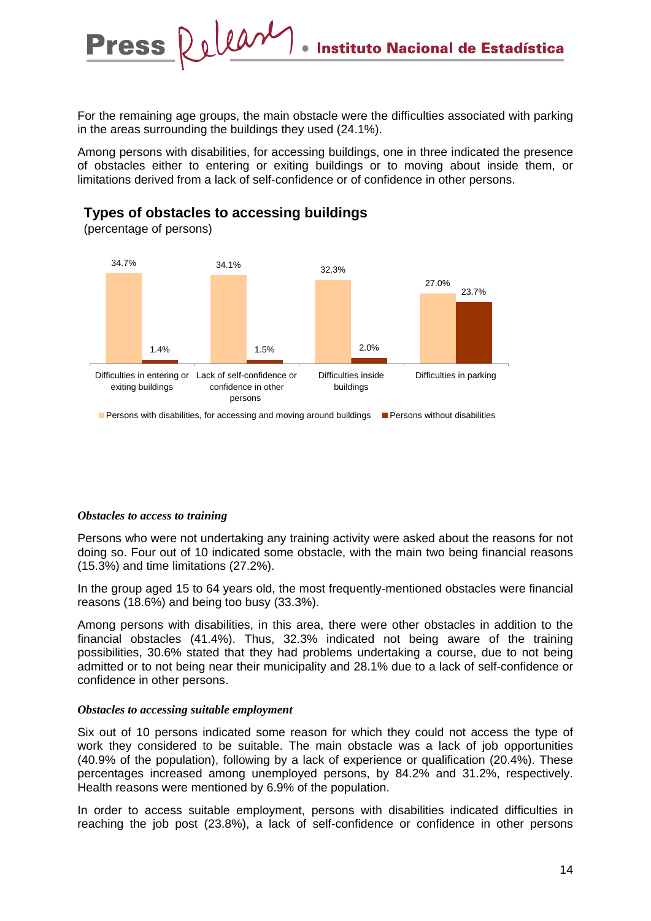For the remaining age groups, the main obstacle were the difficulties associated with parking in the areas surrounding the buildings they used (24.1%).

Among persons with disabilities, for accessing buildings, one in three indicated the presence of obstacles either to entering or exiting buildings or to moving about inside them, or limitations derived from a lack of self-confidence or of confidence in other persons.



**Persons with disabilities, for accessing and moving around buildings Persons without disabilities** 

#### *Obstacles to access to training*

Persons who were not undertaking any training activity were asked about the reasons for not doing so. Four out of 10 indicated some obstacle, with the main two being financial reasons (15.3%) and time limitations (27.2%).

In the group aged 15 to 64 years old, the most frequently-mentioned obstacles were financial reasons (18.6%) and being too busy (33.3%).

Among persons with disabilities, in this area, there were other obstacles in addition to the financial obstacles (41.4%). Thus, 32.3% indicated not being aware of the training possibilities, 30.6% stated that they had problems undertaking a course, due to not being admitted or to not being near their municipality and 28.1% due to a lack of self-confidence or confidence in other persons.

#### *Obstacles to accessing suitable employment*

Six out of 10 persons indicated some reason for which they could not access the type of work they considered to be suitable. The main obstacle was a lack of job opportunities (40.9% of the population), following by a lack of experience or qualification (20.4%). These percentages increased among unemployed persons, by 84.2% and 31.2%, respectively. Health reasons were mentioned by 6.9% of the population.

In order to access suitable employment, persons with disabilities indicated difficulties in reaching the job post (23.8%), a lack of self-confidence or confidence in other persons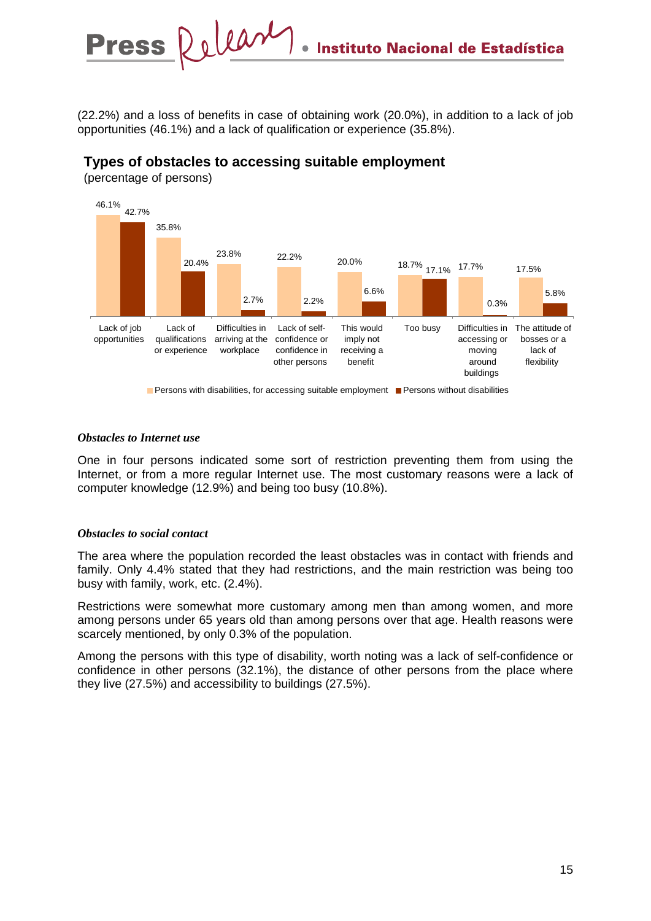(22.2%) and a loss of benefits in case of obtaining work (20.0%), in addition to a lack of job opportunities (46.1%) and a lack of qualification or experience (35.8%).

### **Types of obstacles to accessing suitable employment**

(percentage of persons)



**Persons with disabilities, for accessing suitable employment** Persons without disabilities

#### *Obstacles to Internet use*

One in four persons indicated some sort of restriction preventing them from using the Internet, or from a more regular Internet use. The most customary reasons were a lack of computer knowledge (12.9%) and being too busy (10.8%).

#### *Obstacles to social contact*

The area where the population recorded the least obstacles was in contact with friends and family. Only 4.4% stated that they had restrictions, and the main restriction was being too busy with family, work, etc. (2.4%).

Restrictions were somewhat more customary among men than among women, and more among persons under 65 years old than among persons over that age. Health reasons were scarcely mentioned, by only 0.3% of the population.

Among the persons with this type of disability, worth noting was a lack of self-confidence or confidence in other persons (32.1%), the distance of other persons from the place where they live (27.5%) and accessibility to buildings (27.5%).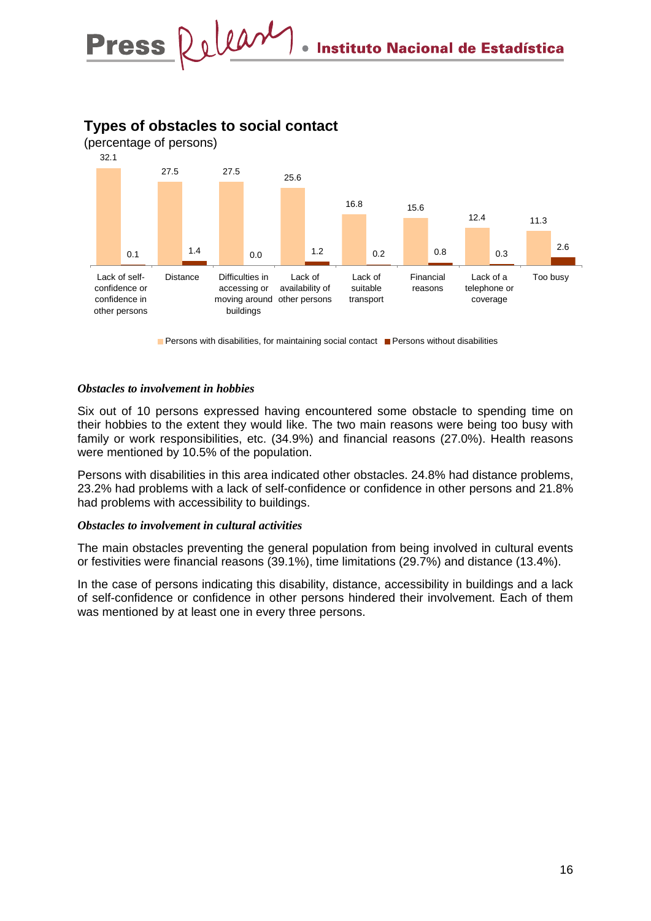

### **Types of obstacles to social contact**

**Persons with disabilities, for maintaining social contact Persons without disabilities** 

#### *Obstacles to involvement in hobbies*

Six out of 10 persons expressed having encountered some obstacle to spending time on their hobbies to the extent they would like. The two main reasons were being too busy with family or work responsibilities, etc. (34.9%) and financial reasons (27.0%). Health reasons were mentioned by 10.5% of the population.

Persons with disabilities in this area indicated other obstacles. 24.8% had distance problems, 23.2% had problems with a lack of self-confidence or confidence in other persons and 21.8% had problems with accessibility to buildings.

#### *Obstacles to involvement in cultural activities*

The main obstacles preventing the general population from being involved in cultural events or festivities were financial reasons (39.1%), time limitations (29.7%) and distance (13.4%).

In the case of persons indicating this disability, distance, accessibility in buildings and a lack of self-confidence or confidence in other persons hindered their involvement. Each of them was mentioned by at least one in every three persons.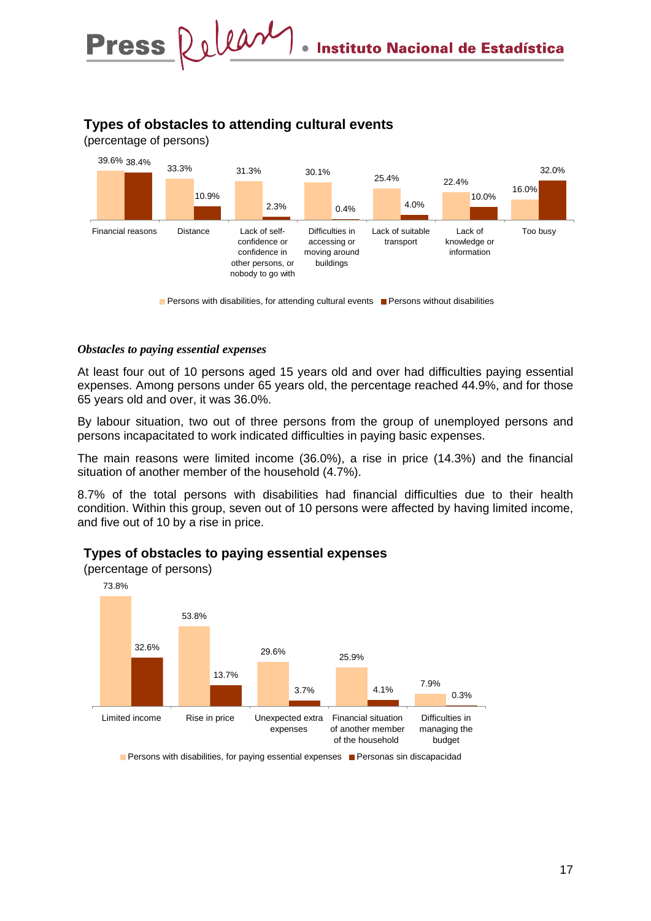### **Types of obstacles to attending cultural events**

(percentage of persons)



**Persons with disabilities, for attending cultural events Persons without disabilities** 

#### *Obstacles to paying essential expenses*

At least four out of 10 persons aged 15 years old and over had difficulties paying essential expenses. Among persons under 65 years old, the percentage reached 44.9%, and for those 65 years old and over, it was 36.0%.

By labour situation, two out of three persons from the group of unemployed persons and persons incapacitated to work indicated difficulties in paying basic expenses.

The main reasons were limited income (36.0%), a rise in price (14.3%) and the financial situation of another member of the household (4.7%).

8.7% of the total persons with disabilities had financial difficulties due to their health condition. Within this group, seven out of 10 persons were affected by having limited income, and five out of 10 by a rise in price.



#### **Types of obstacles to paying essential expenses**

**Persons with disabilities, for paying essential expenses Personas sin discapacidad**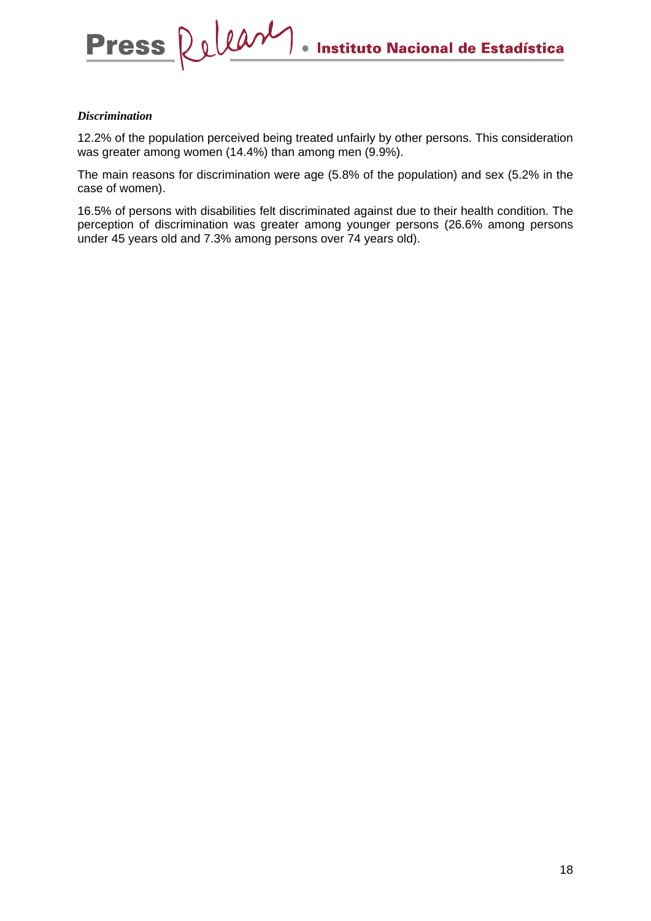#### *Discrimination*

12.2% of the population perceived being treated unfairly by other persons. This consideration was greater among women (14.4%) than among men (9.9%).

The main reasons for discrimination were age (5.8% of the population) and sex (5.2% in the case of women).

16.5% of persons with disabilities felt discriminated against due to their health condition. The perception of discrimination was greater among younger persons (26.6% among persons under 45 years old and 7.3% among persons over 74 years old).